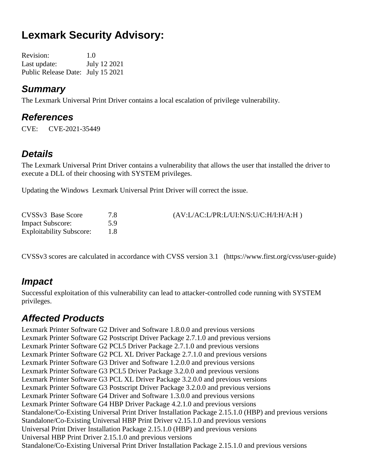# **Lexmark Security Advisory:**

Revision: 1.0 Last update: July 12 2021 Public Release Date: July 15 2021

#### *Summary*

The Lexmark Universal Print Driver contains a local escalation of privilege vulnerability.

### *References*

CVE: CVE-2021-35449

## *Details*

The Lexmark Universal Print Driver contains a vulnerability that allows the user that installed the driver to execute a DLL of their choosing with SYSTEM privileges.

Updating the Windows Lexmark Universal Print Driver will correct the issue.

| CVSS <sub>v3</sub> Base Score   | 7 S | $(AV:LAC:L/PR: L/UI: N/S: U/C: H/I: H/A: H)$ |
|---------------------------------|-----|----------------------------------------------|
| <b>Impact Subscore:</b>         | 59  |                                              |
| <b>Exploitability Subscore:</b> |     |                                              |

CVSSv3 scores are calculated in accordance with CVSS version 3.1 (https://www.first.org/cvss/user-guide)

## *Impact*

Successful exploitation of this vulnerability can lead to attacker-controlled code running with SYSTEM privileges.

## *Affected Products*

Lexmark Printer Software G2 Driver and Software 1.8.0.0 and previous versions Lexmark Printer Software G2 Postscript Driver Package 2.7.1.0 and previous versions Lexmark Printer Software G2 PCL5 Driver Package 2.7.1.0 and previous versions Lexmark Printer Software G2 PCL XL Driver Package 2.7.1.0 and previous versions Lexmark Printer Software G3 Driver and Software 1.2.0.0 and previous versions Lexmark Printer Software G3 PCL5 Driver Package 3.2.0.0 and previous versions Lexmark Printer Software G3 PCL XL Driver Package 3.2.0.0 and previous versions Lexmark Printer Software G3 Postscript Driver Package 3.2.0.0 and previous versions Lexmark Printer Software G4 Driver and Software 1.3.0.0 and previous versions Lexmark Printer Software G4 HBP Driver Package 4.2.1.0 and previous versions Standalone/Co-Existing Universal Print Driver Installation Package 2.15.1.0 (HBP) and previous versions Standalone/Co-Existing Universal HBP Print Driver v2.15.1.0 and previous versions Universal Print Driver Installation Package 2.15.1.0 (HBP) and previous versions Universal HBP Print Driver 2.15.1.0 and previous versions Standalone/Co-Existing Universal Print Driver Installation Package 2.15.1.0 and previous versions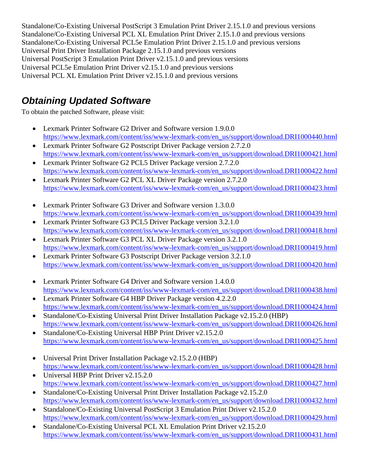Standalone/Co-Existing Universal PostScript 3 Emulation Print Driver 2.15.1.0 and previous versions Standalone/Co-Existing Universal PCL XL Emulation Print Driver 2.15.1.0 and previous versions Standalone/Co-Existing Universal PCL5e Emulation Print Driver 2.15.1.0 and previous versions Universal Print Driver Installation Package 2.15.1.0 and previous versions Universal PostScript 3 Emulation Print Driver v2.15.1.0 and previous versions Universal PCL5e Emulation Print Driver v2.15.1.0 and previous versions Universal PCL XL Emulation Print Driver v2.15.1.0 and previous versions

## *Obtaining Updated Software*

To obtain the patched Software, please visit:

- Lexmark Printer Software G2 Driver and Software version 1.9.0.0 [https://www.lexmark.com/content/iss/www-lexmark-com/en\\_us/support/download.DRI1000440.html](https://www.lexmark.com/content/iss/www-lexmark-com/en_us/support/download.DRI1000440.html)
- Lexmark Printer Software G2 Postscript Driver Package version 2.7.2.0 [https://www.lexmark.com/content/iss/www-lexmark-com/en\\_us/support/download.DRI1000421.html](https://www.lexmark.com/content/iss/www-lexmark-com/en_us/support/download.DRI1000421.html)
- Lexmark Printer Software G2 PCL5 Driver Package version 2.7.2.0 [https://www.lexmark.com/content/iss/www-lexmark-com/en\\_us/support/download.DRI1000422.html](https://www.lexmark.com/content/iss/www-lexmark-com/en_us/support/download.DRI1000422.html)
- Lexmark Printer Software G2 PCL XL Driver Package version 2.7.2.0 [https://www.lexmark.com/content/iss/www-lexmark-com/en\\_us/support/download.DRI1000423.html](https://www.lexmark.com/content/iss/www-lexmark-com/en_us/support/download.DRI1000423.html)
- Lexmark Printer Software G3 Driver and Software version 1.3.0.0 [https://www.lexmark.com/content/iss/www-lexmark-com/en\\_us/support/download.DRI1000439.html](https://www.lexmark.com/content/iss/www-lexmark-com/en_us/support/download.DRI1000439.html)
- Lexmark Printer Software G3 PCL5 Driver Package version 3.2.1.0 [https://www.lexmark.com/content/iss/www-lexmark-com/en\\_us/support/download.DRI1000418.html](https://www.lexmark.com/content/iss/www-lexmark-com/en_us/support/download.DRI1000418.html)
- Lexmark Printer Software G3 PCL XL Driver Package version 3.2.1.0 [https://www.lexmark.com/content/iss/www-lexmark-com/en\\_us/support/download.DRI1000419.html](https://www.lexmark.com/content/iss/www-lexmark-com/en_us/support/download.DRI1000419.html)
- Lexmark Printer Software G3 Postscript Driver Package version 3.2.1.0 [https://www.lexmark.com/content/iss/www-lexmark-com/en\\_us/support/download.DRI1000420.html](https://www.lexmark.com/content/iss/www-lexmark-com/en_us/support/download.DRI1000420.html)
- Lexmark Printer Software G4 Driver and Software version 1.4.0.0 [https://www.lexmark.com/content/iss/www-lexmark-com/en\\_us/support/download.DRI1000438.html](https://www.lexmark.com/content/iss/www-lexmark-com/en_us/support/download.DRI1000438.html)
- Lexmark Printer Software G4 HBP Driver Package version 4.2.2.0 [https://www.lexmark.com/content/iss/www-lexmark-com/en\\_us/support/download.DRI1000424.html](https://www.lexmark.com/content/iss/www-lexmark-com/en_us/support/download.DRI1000424.html)
- Standalone/Co-Existing Universal Print Driver Installation Package v2.15.2.0 (HBP) [https://www.lexmark.com/content/iss/www-lexmark-com/en\\_us/support/download.DRI1000426.html](https://www.lexmark.com/content/iss/www-lexmark-com/en_us/support/download.DRI1000426.html)
- Standalone/Co-Existing Universal HBP Print Driver v2.15.2.0 [https://www.lexmark.com/content/iss/www-lexmark-com/en\\_us/support/download.DRI1000425.html](https://www.lexmark.com/content/iss/www-lexmark-com/en_us/support/download.DRI1000425.html)
- Universal Print Driver Installation Package v2.15.2.0 (HBP) [https://www.lexmark.com/content/iss/www-lexmark-com/en\\_us/support/download.DRI1000428.html](https://www.lexmark.com/content/iss/www-lexmark-com/en_us/support/download.DRI1000428.html)
- Universal HBP Print Driver v2.15.2.0 [https://www.lexmark.com/content/iss/www-lexmark-com/en\\_us/support/download.DRI1000427.html](https://www.lexmark.com/content/iss/www-lexmark-com/en_us/support/download.DRI1000427.html)
- Standalone/Co-Existing Universal Print Driver Installation Package v2.15.2.0 [https://www.lexmark.com/content/iss/www-lexmark-com/en\\_us/support/download.DRI1000432.html](https://www.lexmark.com/content/iss/www-lexmark-com/en_us/support/download.DRI1000432.html)
- Standalone/Co-Existing Universal PostScript 3 Emulation Print Driver v2.15.2.0 [https://www.lexmark.com/content/iss/www-lexmark-com/en\\_us/support/download.DRI1000429.html](https://www.lexmark.com/content/iss/www-lexmark-com/en_us/support/download.DRI1000429.html)
- Standalone/Co-Existing Universal PCL XL Emulation Print Driver v2.15.2.0 [https://www.lexmark.com/content/iss/www-lexmark-com/en\\_us/support/download.DRI1000431.html](https://www.lexmark.com/content/iss/www-lexmark-com/en_us/support/download.DRI1000431.html)